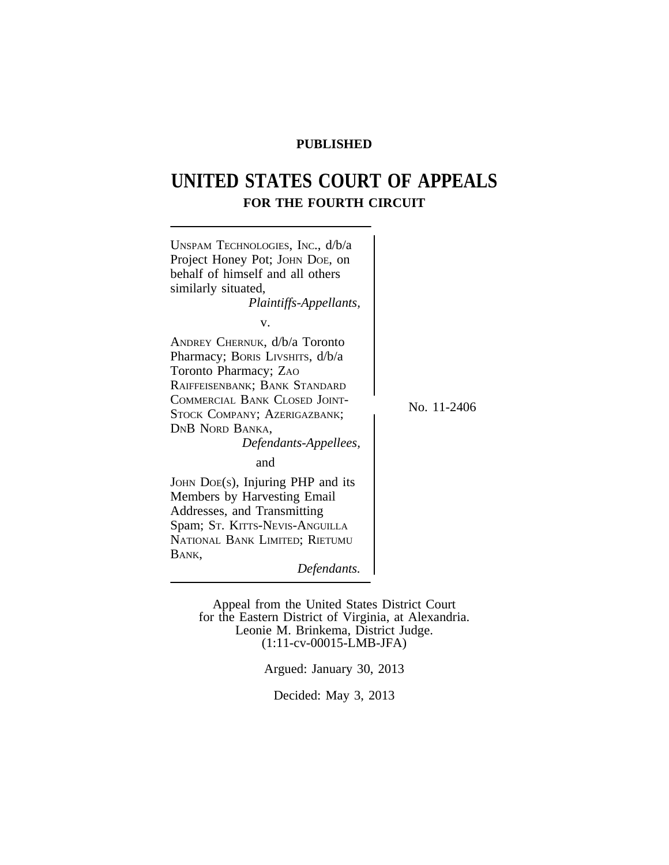# **PUBLISHED**

# **UNITED STATES COURT OF APPEALS FOR THE FOURTH CIRCUIT**



Appeal from the United States District Court for the Eastern District of Virginia, at Alexandria. Leonie M. Brinkema, District Judge. (1:11-cv-00015-LMB-JFA)

Argued: January 30, 2013

Decided: May 3, 2013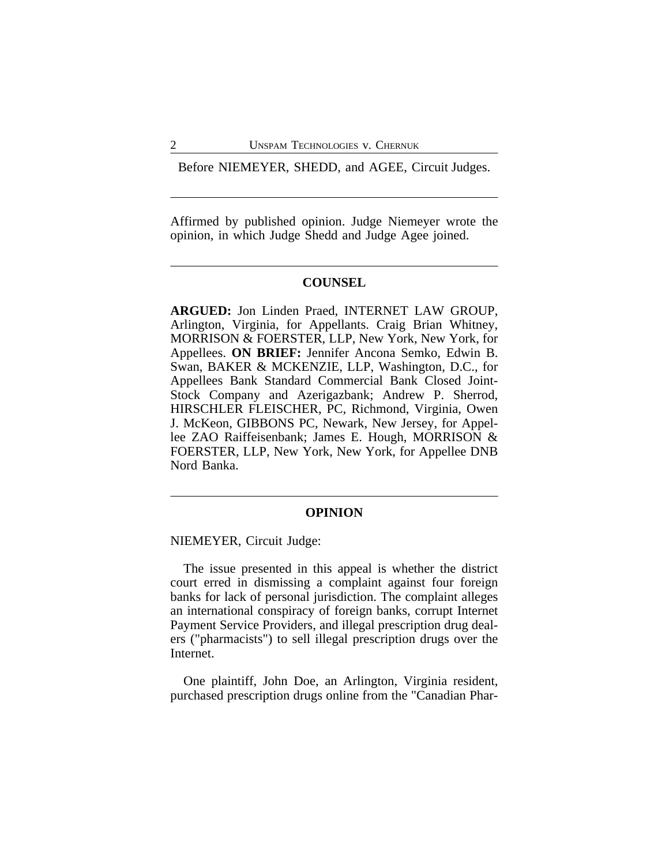Before NIEMEYER, SHEDD, and AGEE, Circuit Judges.

Affirmed by published opinion. Judge Niemeyer wrote the opinion, in which Judge Shedd and Judge Agee joined.

## **COUNSEL**

**ARGUED:** Jon Linden Praed, INTERNET LAW GROUP, Arlington, Virginia, for Appellants. Craig Brian Whitney, MORRISON & FOERSTER, LLP, New York, New York, for Appellees. **ON BRIEF:** Jennifer Ancona Semko, Edwin B. Swan, BAKER & MCKENZIE, LLP, Washington, D.C., for Appellees Bank Standard Commercial Bank Closed Joint-Stock Company and Azerigazbank; Andrew P. Sherrod, HIRSCHLER FLEISCHER, PC, Richmond, Virginia, Owen J. McKeon, GIBBONS PC, Newark, New Jersey, for Appellee ZAO Raiffeisenbank; James E. Hough, MORRISON & FOERSTER, LLP, New York, New York, for Appellee DNB Nord Banka.

#### **OPINION**

NIEMEYER, Circuit Judge:

The issue presented in this appeal is whether the district court erred in dismissing a complaint against four foreign banks for lack of personal jurisdiction. The complaint alleges an international conspiracy of foreign banks, corrupt Internet Payment Service Providers, and illegal prescription drug dealers ("pharmacists") to sell illegal prescription drugs over the Internet.

One plaintiff, John Doe, an Arlington, Virginia resident, purchased prescription drugs online from the "Canadian Phar-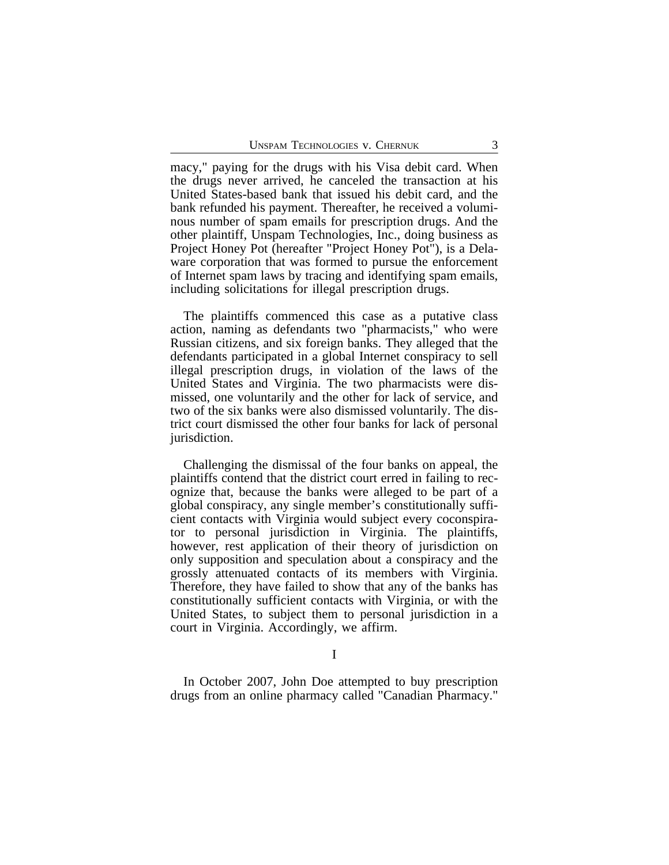macy," paying for the drugs with his Visa debit card. When the drugs never arrived, he canceled the transaction at his United States-based bank that issued his debit card, and the bank refunded his payment. Thereafter, he received a voluminous number of spam emails for prescription drugs. And the other plaintiff, Unspam Technologies, Inc., doing business as Project Honey Pot (hereafter "Project Honey Pot"), is a Delaware corporation that was formed to pursue the enforcement of Internet spam laws by tracing and identifying spam emails, including solicitations for illegal prescription drugs.

The plaintiffs commenced this case as a putative class action, naming as defendants two "pharmacists," who were Russian citizens, and six foreign banks. They alleged that the defendants participated in a global Internet conspiracy to sell illegal prescription drugs, in violation of the laws of the United States and Virginia. The two pharmacists were dismissed, one voluntarily and the other for lack of service, and two of the six banks were also dismissed voluntarily. The district court dismissed the other four banks for lack of personal jurisdiction.

Challenging the dismissal of the four banks on appeal, the plaintiffs contend that the district court erred in failing to recognize that, because the banks were alleged to be part of a global conspiracy, any single member's constitutionally sufficient contacts with Virginia would subject every coconspirator to personal jurisdiction in Virginia. The plaintiffs, however, rest application of their theory of jurisdiction on only supposition and speculation about a conspiracy and the grossly attenuated contacts of its members with Virginia. Therefore, they have failed to show that any of the banks has constitutionally sufficient contacts with Virginia, or with the United States, to subject them to personal jurisdiction in a court in Virginia. Accordingly, we affirm.

I

In October 2007, John Doe attempted to buy prescription drugs from an online pharmacy called "Canadian Pharmacy."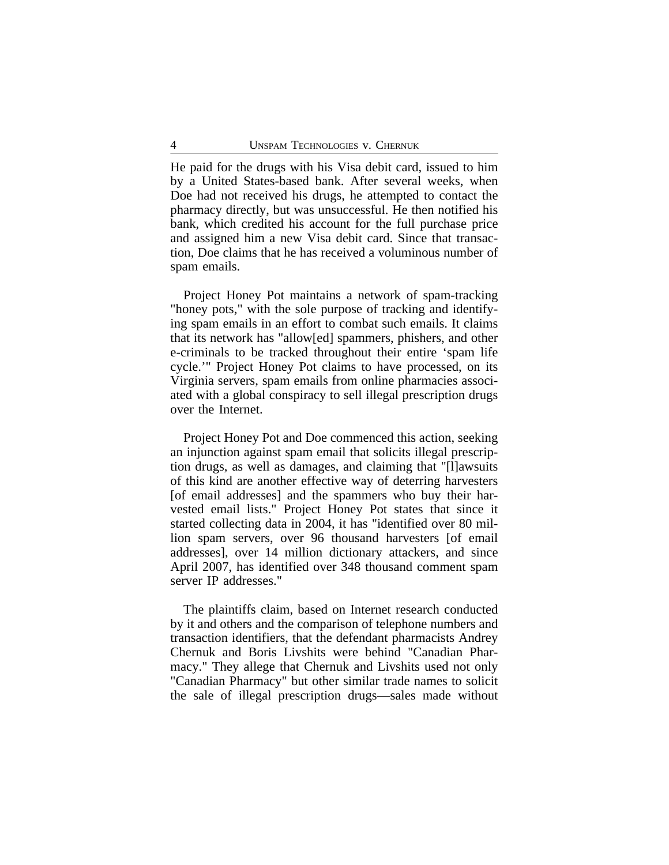He paid for the drugs with his Visa debit card, issued to him by a United States-based bank. After several weeks, when Doe had not received his drugs, he attempted to contact the pharmacy directly, but was unsuccessful. He then notified his bank, which credited his account for the full purchase price and assigned him a new Visa debit card. Since that transaction, Doe claims that he has received a voluminous number of spam emails.

Project Honey Pot maintains a network of spam-tracking "honey pots," with the sole purpose of tracking and identifying spam emails in an effort to combat such emails. It claims that its network has "allow[ed] spammers, phishers, and other e-criminals to be tracked throughout their entire 'spam life cycle.'" Project Honey Pot claims to have processed, on its Virginia servers, spam emails from online pharmacies associated with a global conspiracy to sell illegal prescription drugs over the Internet.

Project Honey Pot and Doe commenced this action, seeking an injunction against spam email that solicits illegal prescription drugs, as well as damages, and claiming that "[l]awsuits of this kind are another effective way of deterring harvesters [of email addresses] and the spammers who buy their harvested email lists." Project Honey Pot states that since it started collecting data in 2004, it has "identified over 80 million spam servers, over 96 thousand harvesters [of email addresses], over 14 million dictionary attackers, and since April 2007, has identified over 348 thousand comment spam server IP addresses."

The plaintiffs claim, based on Internet research conducted by it and others and the comparison of telephone numbers and transaction identifiers, that the defendant pharmacists Andrey Chernuk and Boris Livshits were behind "Canadian Pharmacy." They allege that Chernuk and Livshits used not only "Canadian Pharmacy" but other similar trade names to solicit the sale of illegal prescription drugs—sales made without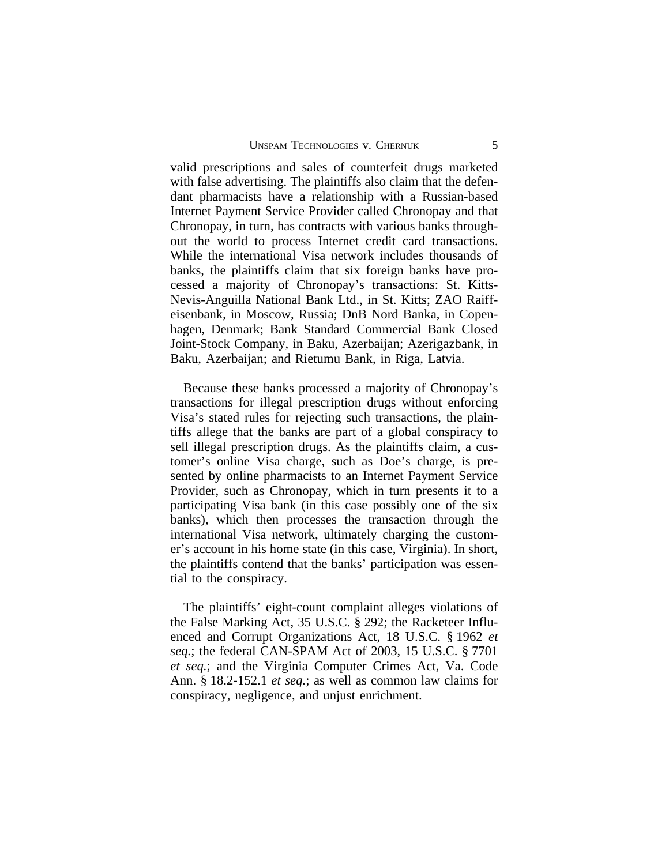valid prescriptions and sales of counterfeit drugs marketed with false advertising. The plaintiffs also claim that the defendant pharmacists have a relationship with a Russian-based Internet Payment Service Provider called Chronopay and that Chronopay, in turn, has contracts with various banks throughout the world to process Internet credit card transactions. While the international Visa network includes thousands of banks, the plaintiffs claim that six foreign banks have processed a majority of Chronopay's transactions: St. Kitts-Nevis-Anguilla National Bank Ltd., in St. Kitts; ZAO Raiffeisenbank, in Moscow, Russia; DnB Nord Banka, in Copenhagen, Denmark; Bank Standard Commercial Bank Closed Joint-Stock Company, in Baku, Azerbaijan; Azerigazbank, in Baku, Azerbaijan; and Rietumu Bank, in Riga, Latvia.

Because these banks processed a majority of Chronopay's transactions for illegal prescription drugs without enforcing Visa's stated rules for rejecting such transactions, the plaintiffs allege that the banks are part of a global conspiracy to sell illegal prescription drugs. As the plaintiffs claim, a customer's online Visa charge, such as Doe's charge, is presented by online pharmacists to an Internet Payment Service Provider, such as Chronopay, which in turn presents it to a participating Visa bank (in this case possibly one of the six banks), which then processes the transaction through the international Visa network, ultimately charging the customer's account in his home state (in this case, Virginia). In short, the plaintiffs contend that the banks' participation was essential to the conspiracy.

The plaintiffs' eight-count complaint alleges violations of the False Marking Act, 35 U.S.C. § 292; the Racketeer Influenced and Corrupt Organizations Act, 18 U.S.C. § 1962 *et seq.*; the federal CAN-SPAM Act of 2003, 15 U.S.C. § 7701 *et seq.*; and the Virginia Computer Crimes Act, Va. Code Ann. § 18.2-152.1 *et seq.*; as well as common law claims for conspiracy, negligence, and unjust enrichment.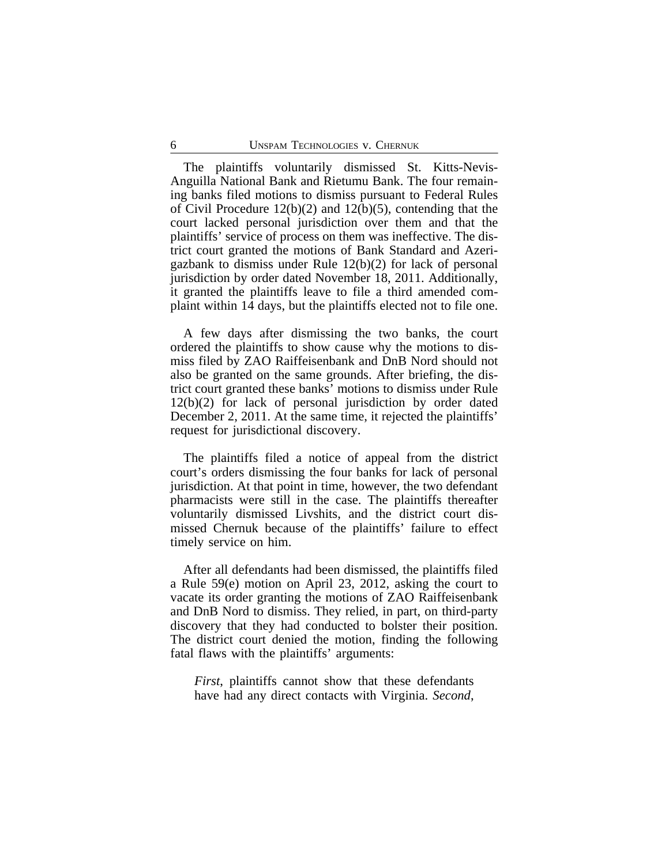The plaintiffs voluntarily dismissed St. Kitts-Nevis-Anguilla National Bank and Rietumu Bank. The four remaining banks filed motions to dismiss pursuant to Federal Rules of Civil Procedure 12(b)(2) and 12(b)(5), contending that the court lacked personal jurisdiction over them and that the plaintiffs' service of process on them was ineffective. The district court granted the motions of Bank Standard and Azerigazbank to dismiss under Rule 12(b)(2) for lack of personal jurisdiction by order dated November 18, 2011. Additionally, it granted the plaintiffs leave to file a third amended complaint within 14 days, but the plaintiffs elected not to file one.

A few days after dismissing the two banks, the court ordered the plaintiffs to show cause why the motions to dismiss filed by ZAO Raiffeisenbank and DnB Nord should not also be granted on the same grounds. After briefing, the district court granted these banks' motions to dismiss under Rule 12(b)(2) for lack of personal jurisdiction by order dated December 2, 2011. At the same time, it rejected the plaintiffs' request for jurisdictional discovery.

The plaintiffs filed a notice of appeal from the district court's orders dismissing the four banks for lack of personal jurisdiction. At that point in time, however, the two defendant pharmacists were still in the case. The plaintiffs thereafter voluntarily dismissed Livshits, and the district court dismissed Chernuk because of the plaintiffs' failure to effect timely service on him.

After all defendants had been dismissed, the plaintiffs filed a Rule 59(e) motion on April 23, 2012, asking the court to vacate its order granting the motions of ZAO Raiffeisenbank and DnB Nord to dismiss. They relied, in part, on third-party discovery that they had conducted to bolster their position. The district court denied the motion, finding the following fatal flaws with the plaintiffs' arguments:

*First*, plaintiffs cannot show that these defendants have had any direct contacts with Virginia. *Second*,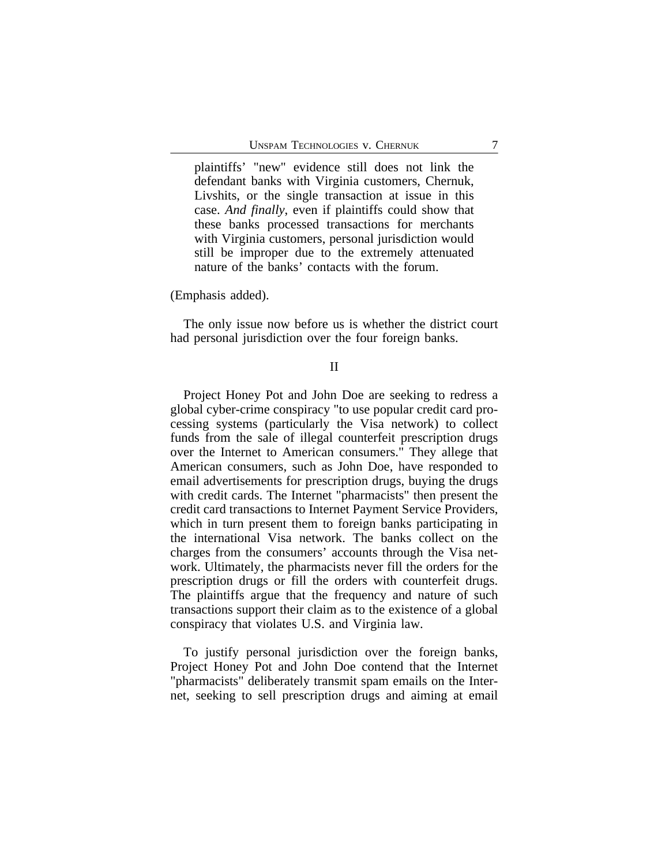plaintiffs' "new" evidence still does not link the defendant banks with Virginia customers, Chernuk, Livshits, or the single transaction at issue in this case. *And finally*, even if plaintiffs could show that these banks processed transactions for merchants with Virginia customers, personal jurisdiction would still be improper due to the extremely attenuated nature of the banks' contacts with the forum.

(Emphasis added).

The only issue now before us is whether the district court had personal jurisdiction over the four foreign banks.

## II

Project Honey Pot and John Doe are seeking to redress a global cyber-crime conspiracy "to use popular credit card processing systems (particularly the Visa network) to collect funds from the sale of illegal counterfeit prescription drugs over the Internet to American consumers." They allege that American consumers, such as John Doe, have responded to email advertisements for prescription drugs, buying the drugs with credit cards. The Internet "pharmacists" then present the credit card transactions to Internet Payment Service Providers, which in turn present them to foreign banks participating in the international Visa network. The banks collect on the charges from the consumers' accounts through the Visa network. Ultimately, the pharmacists never fill the orders for the prescription drugs or fill the orders with counterfeit drugs. The plaintiffs argue that the frequency and nature of such transactions support their claim as to the existence of a global conspiracy that violates U.S. and Virginia law.

To justify personal jurisdiction over the foreign banks, Project Honey Pot and John Doe contend that the Internet "pharmacists" deliberately transmit spam emails on the Internet, seeking to sell prescription drugs and aiming at email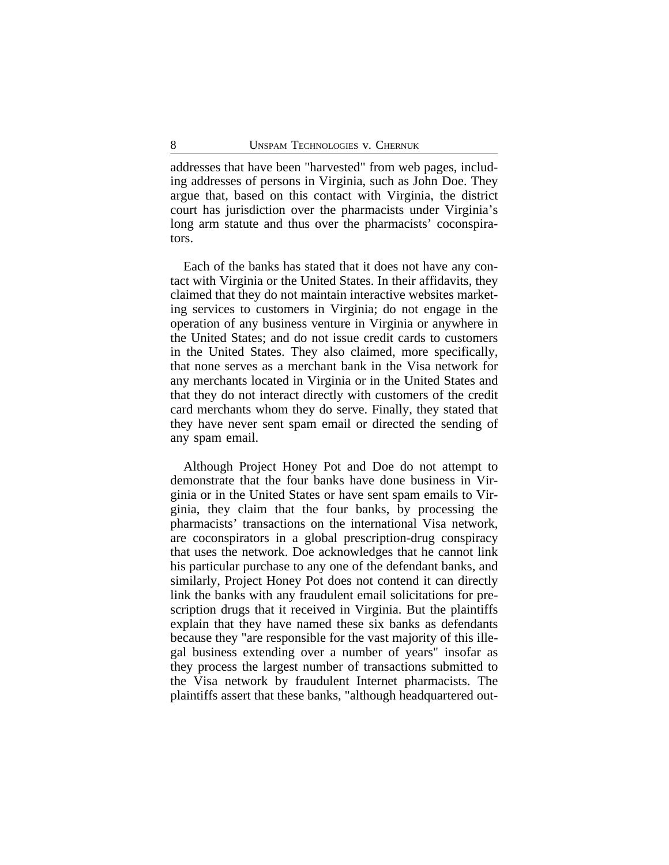addresses that have been "harvested" from web pages, including addresses of persons in Virginia, such as John Doe. They argue that, based on this contact with Virginia, the district court has jurisdiction over the pharmacists under Virginia's long arm statute and thus over the pharmacists' coconspirators.

Each of the banks has stated that it does not have any contact with Virginia or the United States. In their affidavits, they claimed that they do not maintain interactive websites marketing services to customers in Virginia; do not engage in the operation of any business venture in Virginia or anywhere in the United States; and do not issue credit cards to customers in the United States. They also claimed, more specifically, that none serves as a merchant bank in the Visa network for any merchants located in Virginia or in the United States and that they do not interact directly with customers of the credit card merchants whom they do serve. Finally, they stated that they have never sent spam email or directed the sending of any spam email.

Although Project Honey Pot and Doe do not attempt to demonstrate that the four banks have done business in Virginia or in the United States or have sent spam emails to Virginia, they claim that the four banks, by processing the pharmacists' transactions on the international Visa network, are coconspirators in a global prescription-drug conspiracy that uses the network. Doe acknowledges that he cannot link his particular purchase to any one of the defendant banks, and similarly, Project Honey Pot does not contend it can directly link the banks with any fraudulent email solicitations for prescription drugs that it received in Virginia. But the plaintiffs explain that they have named these six banks as defendants because they "are responsible for the vast majority of this illegal business extending over a number of years" insofar as they process the largest number of transactions submitted to the Visa network by fraudulent Internet pharmacists. The plaintiffs assert that these banks, "although headquartered out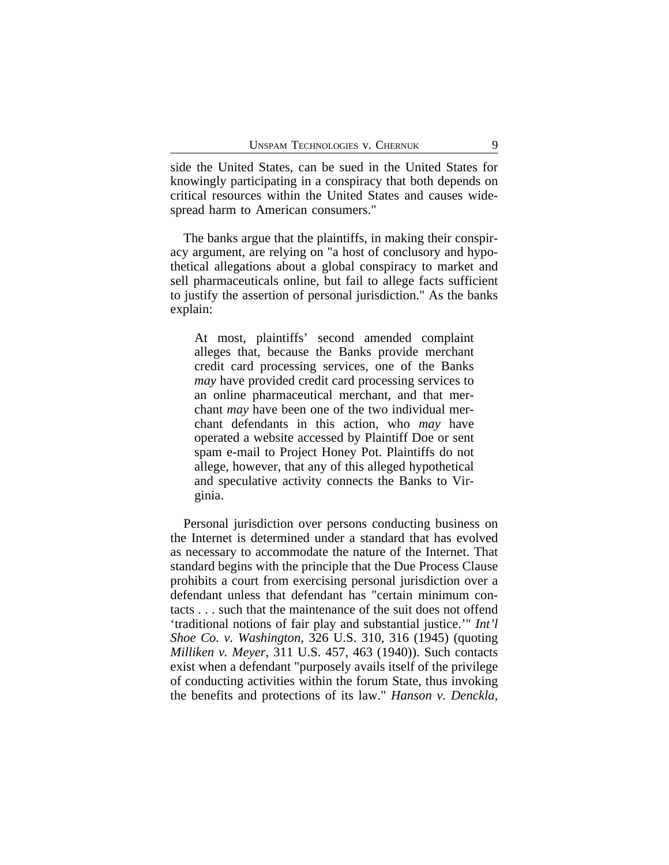side the United States, can be sued in the United States for knowingly participating in a conspiracy that both depends on critical resources within the United States and causes widespread harm to American consumers."

The banks argue that the plaintiffs, in making their conspiracy argument, are relying on "a host of conclusory and hypothetical allegations about a global conspiracy to market and sell pharmaceuticals online, but fail to allege facts sufficient to justify the assertion of personal jurisdiction." As the banks explain:

At most, plaintiffs' second amended complaint alleges that, because the Banks provide merchant credit card processing services, one of the Banks *may* have provided credit card processing services to an online pharmaceutical merchant, and that merchant *may* have been one of the two individual merchant defendants in this action, who *may* have operated a website accessed by Plaintiff Doe or sent spam e-mail to Project Honey Pot. Plaintiffs do not allege, however, that any of this alleged hypothetical and speculative activity connects the Banks to Virginia.

Personal jurisdiction over persons conducting business on the Internet is determined under a standard that has evolved as necessary to accommodate the nature of the Internet. That standard begins with the principle that the Due Process Clause prohibits a court from exercising personal jurisdiction over a defendant unless that defendant has "certain minimum contacts . . . such that the maintenance of the suit does not offend 'traditional notions of fair play and substantial justice.'" *Int'l Shoe Co. v. Washington*, 326 U.S. 310, 316 (1945) (quoting *Milliken v. Meyer*, 311 U.S. 457, 463 (1940)). Such contacts exist when a defendant "purposely avails itself of the privilege of conducting activities within the forum State, thus invoking the benefits and protections of its law." *Hanson v. Denckla*,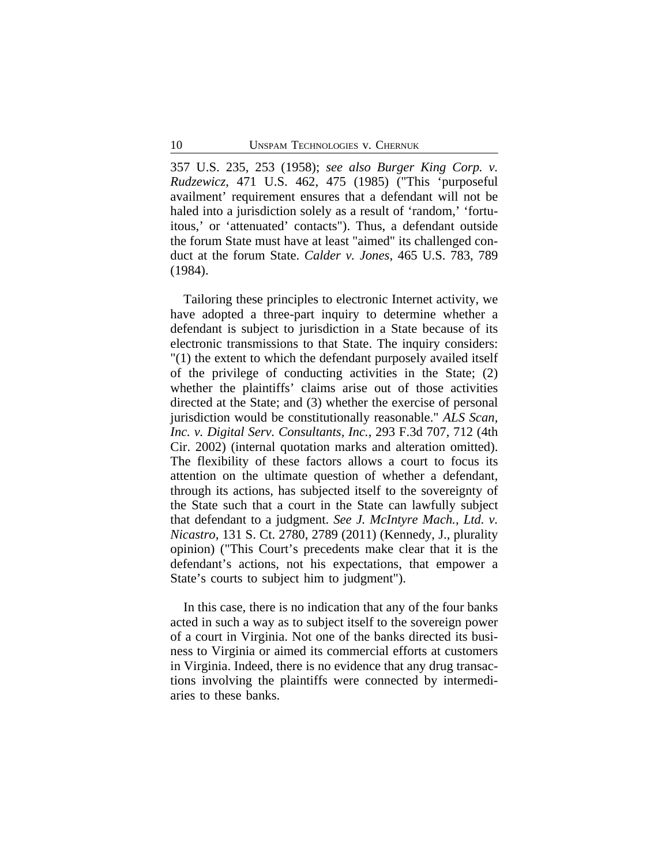357 U.S. 235, 253 (1958); *see also Burger King Corp. v. Rudzewicz*, 471 U.S. 462, 475 (1985) ("This 'purposeful availment' requirement ensures that a defendant will not be haled into a jurisdiction solely as a result of 'random,' 'fortuitous,' or 'attenuated' contacts"). Thus, a defendant outside the forum State must have at least "aimed" its challenged conduct at the forum State. *Calder v. Jones*, 465 U.S. 783, 789 (1984).

Tailoring these principles to electronic Internet activity, we have adopted a three-part inquiry to determine whether a defendant is subject to jurisdiction in a State because of its electronic transmissions to that State. The inquiry considers: "(1) the extent to which the defendant purposely availed itself of the privilege of conducting activities in the State; (2) whether the plaintiffs' claims arise out of those activities directed at the State; and (3) whether the exercise of personal jurisdiction would be constitutionally reasonable." *ALS Scan, Inc. v. Digital Serv. Consultants, Inc.*, 293 F.3d 707, 712 (4th Cir. 2002) (internal quotation marks and alteration omitted). The flexibility of these factors allows a court to focus its attention on the ultimate question of whether a defendant, through its actions, has subjected itself to the sovereignty of the State such that a court in the State can lawfully subject that defendant to a judgment. *See J. McIntyre Mach., Ltd. v. Nicastro*, 131 S. Ct. 2780, 2789 (2011) (Kennedy, J., plurality opinion) ("This Court's precedents make clear that it is the defendant's actions, not his expectations, that empower a State's courts to subject him to judgment").

In this case, there is no indication that any of the four banks acted in such a way as to subject itself to the sovereign power of a court in Virginia. Not one of the banks directed its business to Virginia or aimed its commercial efforts at customers in Virginia. Indeed, there is no evidence that any drug transactions involving the plaintiffs were connected by intermediaries to these banks.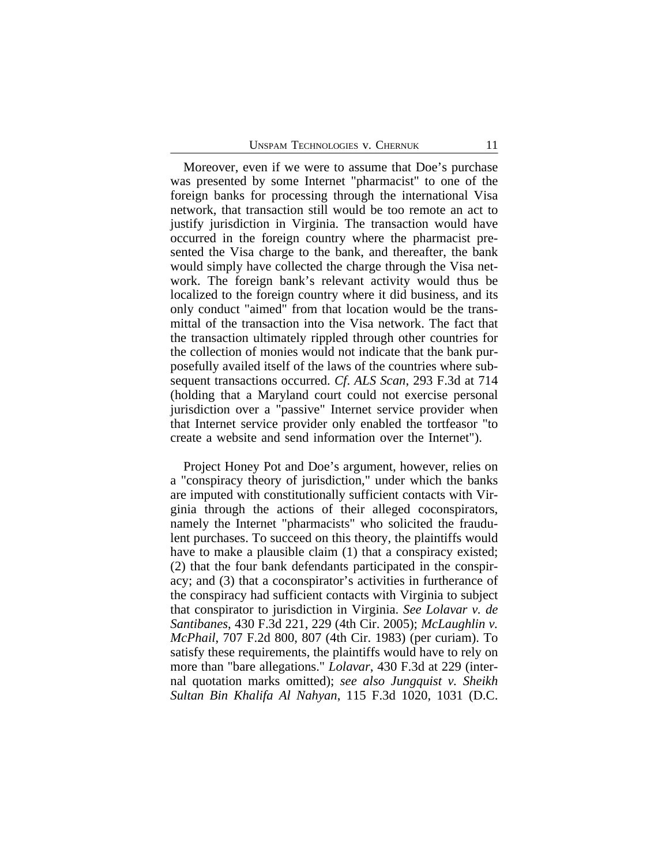Moreover, even if we were to assume that Doe's purchase was presented by some Internet "pharmacist" to one of the foreign banks for processing through the international Visa network, that transaction still would be too remote an act to justify jurisdiction in Virginia. The transaction would have occurred in the foreign country where the pharmacist presented the Visa charge to the bank, and thereafter, the bank would simply have collected the charge through the Visa network. The foreign bank's relevant activity would thus be localized to the foreign country where it did business, and its only conduct "aimed" from that location would be the transmittal of the transaction into the Visa network. The fact that the transaction ultimately rippled through other countries for the collection of monies would not indicate that the bank purposefully availed itself of the laws of the countries where subsequent transactions occurred. *Cf*. *ALS Scan*, 293 F.3d at 714 (holding that a Maryland court could not exercise personal jurisdiction over a "passive" Internet service provider when that Internet service provider only enabled the tortfeasor "to create a website and send information over the Internet").

Project Honey Pot and Doe's argument, however, relies on a "conspiracy theory of jurisdiction," under which the banks are imputed with constitutionally sufficient contacts with Virginia through the actions of their alleged coconspirators, namely the Internet "pharmacists" who solicited the fraudulent purchases. To succeed on this theory, the plaintiffs would have to make a plausible claim (1) that a conspiracy existed; (2) that the four bank defendants participated in the conspiracy; and (3) that a coconspirator's activities in furtherance of the conspiracy had sufficient contacts with Virginia to subject that conspirator to jurisdiction in Virginia. *See Lolavar v. de Santibanes*, 430 F.3d 221, 229 (4th Cir. 2005); *McLaughlin v. McPhail*, 707 F.2d 800, 807 (4th Cir. 1983) (per curiam). To satisfy these requirements, the plaintiffs would have to rely on more than "bare allegations." *Lolavar*, 430 F.3d at 229 (internal quotation marks omitted); *see also Jungquist v. Sheikh Sultan Bin Khalifa Al Nahyan*, 115 F.3d 1020, 1031 (D.C.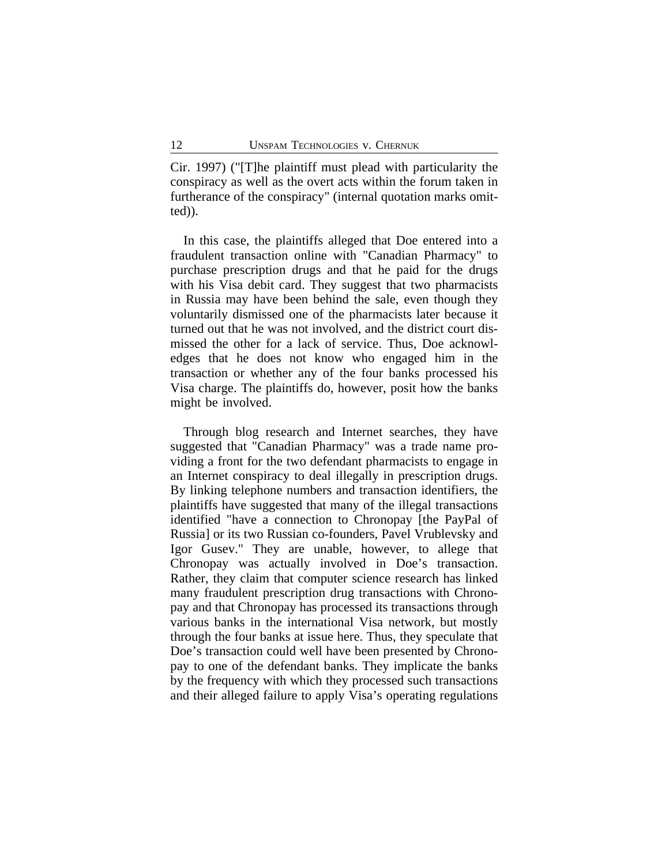Cir. 1997) ("[T]he plaintiff must plead with particularity the conspiracy as well as the overt acts within the forum taken in furtherance of the conspiracy" (internal quotation marks omitted)).

In this case, the plaintiffs alleged that Doe entered into a fraudulent transaction online with "Canadian Pharmacy" to purchase prescription drugs and that he paid for the drugs with his Visa debit card. They suggest that two pharmacists in Russia may have been behind the sale, even though they voluntarily dismissed one of the pharmacists later because it turned out that he was not involved, and the district court dismissed the other for a lack of service. Thus, Doe acknowledges that he does not know who engaged him in the transaction or whether any of the four banks processed his Visa charge. The plaintiffs do, however, posit how the banks might be involved.

Through blog research and Internet searches, they have suggested that "Canadian Pharmacy" was a trade name providing a front for the two defendant pharmacists to engage in an Internet conspiracy to deal illegally in prescription drugs. By linking telephone numbers and transaction identifiers, the plaintiffs have suggested that many of the illegal transactions identified "have a connection to Chronopay [the PayPal of Russia] or its two Russian co-founders, Pavel Vrublevsky and Igor Gusev." They are unable, however, to allege that Chronopay was actually involved in Doe's transaction. Rather, they claim that computer science research has linked many fraudulent prescription drug transactions with Chronopay and that Chronopay has processed its transactions through various banks in the international Visa network, but mostly through the four banks at issue here. Thus, they speculate that Doe's transaction could well have been presented by Chronopay to one of the defendant banks. They implicate the banks by the frequency with which they processed such transactions and their alleged failure to apply Visa's operating regulations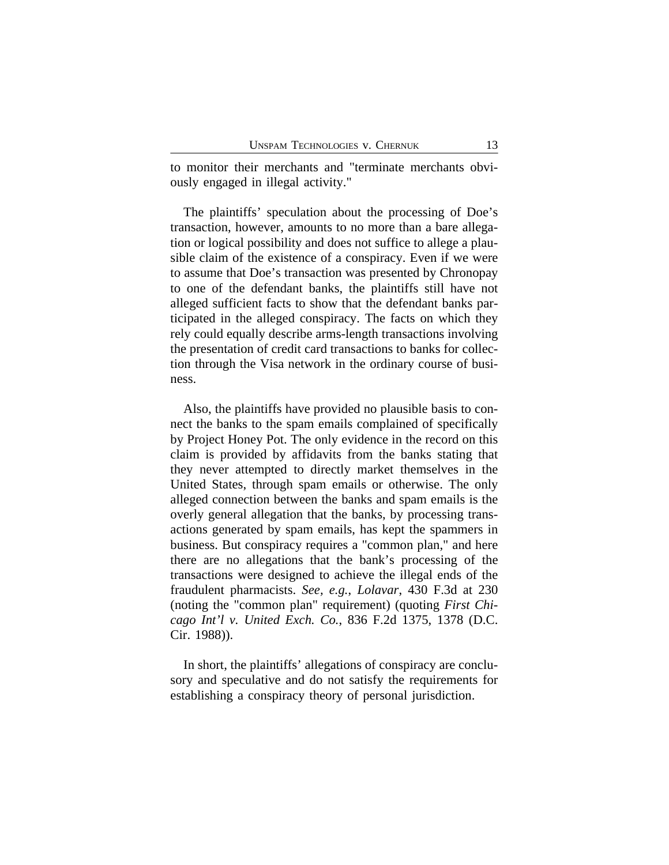to monitor their merchants and "terminate merchants obviously engaged in illegal activity."

The plaintiffs' speculation about the processing of Doe's transaction, however, amounts to no more than a bare allegation or logical possibility and does not suffice to allege a plausible claim of the existence of a conspiracy. Even if we were to assume that Doe's transaction was presented by Chronopay to one of the defendant banks, the plaintiffs still have not alleged sufficient facts to show that the defendant banks participated in the alleged conspiracy. The facts on which they rely could equally describe arms-length transactions involving the presentation of credit card transactions to banks for collection through the Visa network in the ordinary course of business.

Also, the plaintiffs have provided no plausible basis to connect the banks to the spam emails complained of specifically by Project Honey Pot. The only evidence in the record on this claim is provided by affidavits from the banks stating that they never attempted to directly market themselves in the United States, through spam emails or otherwise. The only alleged connection between the banks and spam emails is the overly general allegation that the banks, by processing transactions generated by spam emails, has kept the spammers in business. But conspiracy requires a "common plan," and here there are no allegations that the bank's processing of the transactions were designed to achieve the illegal ends of the fraudulent pharmacists. *See, e.g.*, *Lolavar*, 430 F.3d at 230 (noting the "common plan" requirement) (quoting *First Chicago Int'l v. United Exch. Co.*, 836 F.2d 1375, 1378 (D.C. Cir. 1988)).

In short, the plaintiffs' allegations of conspiracy are conclusory and speculative and do not satisfy the requirements for establishing a conspiracy theory of personal jurisdiction.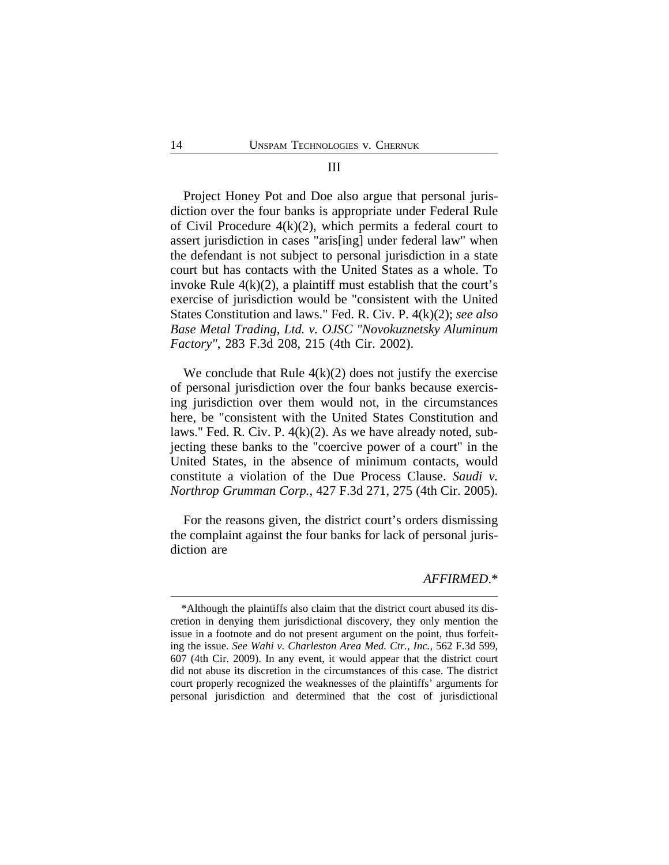#### III

Project Honey Pot and Doe also argue that personal jurisdiction over the four banks is appropriate under Federal Rule of Civil Procedure 4(k)(2), which permits a federal court to assert jurisdiction in cases "aris[ing] under federal law" when the defendant is not subject to personal jurisdiction in a state court but has contacts with the United States as a whole. To invoke Rule  $4(k)(2)$ , a plaintiff must establish that the court's exercise of jurisdiction would be "consistent with the United States Constitution and laws." Fed. R. Civ. P. 4(k)(2); *see also Base Metal Trading, Ltd. v. OJSC "Novokuznetsky Aluminum Factory"*, 283 F.3d 208, 215 (4th Cir. 2002).

We conclude that Rule  $4(k)(2)$  does not justify the exercise of personal jurisdiction over the four banks because exercising jurisdiction over them would not, in the circumstances here, be "consistent with the United States Constitution and laws." Fed. R. Civ. P. 4(k)(2). As we have already noted, subjecting these banks to the "coercive power of a court" in the United States, in the absence of minimum contacts, would constitute a violation of the Due Process Clause. *Saudi v. Northrop Grumman Corp.*, 427 F.3d 271, 275 (4th Cir. 2005).

For the reasons given, the district court's orders dismissing the complaint against the four banks for lack of personal jurisdiction are

#### *AFFIRMED*.\*

<sup>\*</sup>Although the plaintiffs also claim that the district court abused its discretion in denying them jurisdictional discovery, they only mention the issue in a footnote and do not present argument on the point, thus forfeiting the issue. *See Wahi v. Charleston Area Med. Ctr., Inc.*, 562 F.3d 599, 607 (4th Cir. 2009). In any event, it would appear that the district court did not abuse its discretion in the circumstances of this case. The district court properly recognized the weaknesses of the plaintiffs' arguments for personal jurisdiction and determined that the cost of jurisdictional